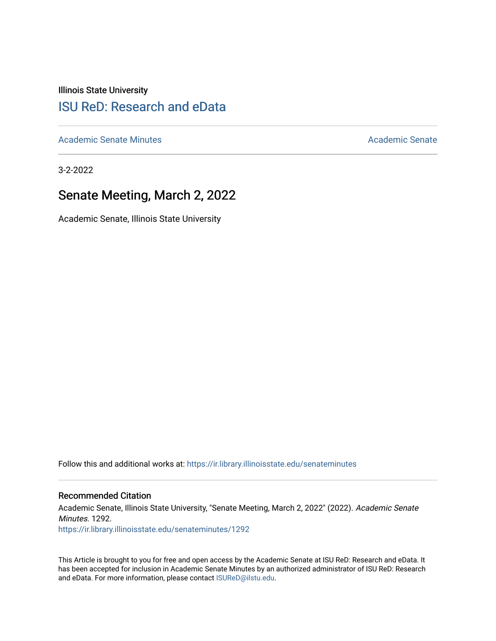Illinois State University

# [ISU ReD: Research and eData](https://ir.library.illinoisstate.edu/)

[Academic Senate Minutes](https://ir.library.illinoisstate.edu/senateminutes) [Academic Senate](https://ir.library.illinoisstate.edu/senate) Academic Senate

3-2-2022

# Senate Meeting, March 2, 2022

Academic Senate, Illinois State University

Follow this and additional works at: [https://ir.library.illinoisstate.edu/senateminutes](https://ir.library.illinoisstate.edu/senateminutes?utm_source=ir.library.illinoisstate.edu%2Fsenateminutes%2F1292&utm_medium=PDF&utm_campaign=PDFCoverPages) 

#### Recommended Citation

Academic Senate, Illinois State University, "Senate Meeting, March 2, 2022" (2022). Academic Senate Minutes. 1292. [https://ir.library.illinoisstate.edu/senateminutes/1292](https://ir.library.illinoisstate.edu/senateminutes/1292?utm_source=ir.library.illinoisstate.edu%2Fsenateminutes%2F1292&utm_medium=PDF&utm_campaign=PDFCoverPages)

This Article is brought to you for free and open access by the Academic Senate at ISU ReD: Research and eData. It has been accepted for inclusion in Academic Senate Minutes by an authorized administrator of ISU ReD: Research and eData. For more information, please contact [ISUReD@ilstu.edu.](mailto:ISUReD@ilstu.edu)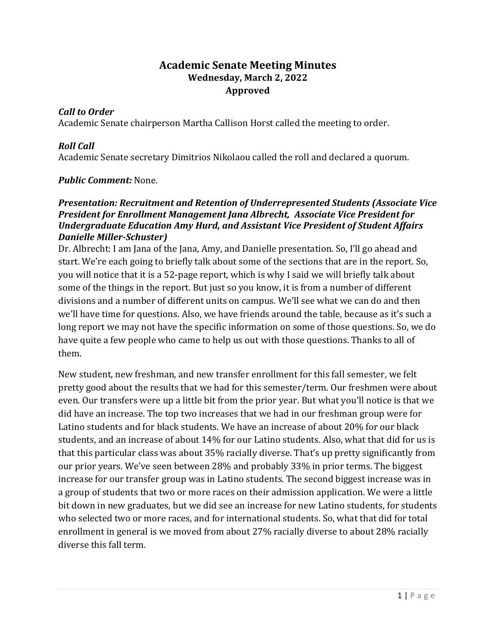## **Academic Senate Meeting Minutes Wednesday, March 2, 2022 Approved**

#### *Call to Order*

Academic Senate chairperson Martha Callison Horst called the meeting to order.

## *Roll Call*

Academic Senate secretary Dimitrios Nikolaou called the roll and declared a quorum.

#### *Public Comment:* None.

#### *Presentation: Recruitment and Retention of Underrepresented Students (Associate Vice President for Enrollment Management Jana Albrecht, Associate Vice President for Undergraduate Education Amy Hurd, and Assistant Vice President of Student Affairs Danielle Miller-Schuster)*

Dr. Albrecht: I am Jana of the Jana, Amy, and Danielle presentation. So, I'll go ahead and start. We're each going to briefly talk about some of the sections that are in the report. So, you will notice that it is a 52-page report, which is why I said we will briefly talk about some of the things in the report. But just so you know, it is from a number of different divisions and a number of different units on campus. We'll see what we can do and then we'll have time for questions. Also, we have friends around the table, because as it's such a long report we may not have the specific information on some of those questions. So, we do have quite a few people who came to help us out with those questions. Thanks to all of them.

New student, new freshman, and new transfer enrollment for this fall semester, we felt pretty good about the results that we had for this semester/term. Our freshmen were about even. Our transfers were up a little bit from the prior year. But what you'll notice is that we did have an increase. The top two increases that we had in our freshman group were for Latino students and for black students. We have an increase of about 20% for our black students, and an increase of about 14% for our Latino students. Also, what that did for us is that this particular class was about 35% racially diverse. That's up pretty significantly from our prior years. We've seen between 28% and probably 33% in prior terms. The biggest increase for our transfer group was in Latino students. The second biggest increase was in a group of students that two or more races on their admission application. We were a little bit down in new graduates, but we did see an increase for new Latino students, for students who selected two or more races, and for international students. So, what that did for total enrollment in general is we moved from about 27% racially diverse to about 28% racially diverse this fall term.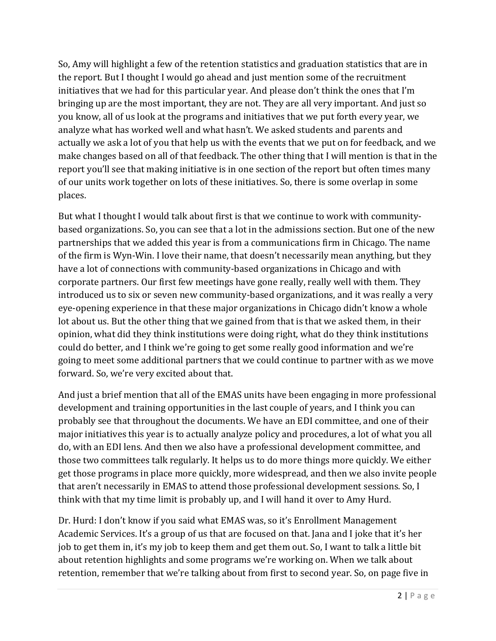So, Amy will highlight a few of the retention statistics and graduation statistics that are in the report. But I thought I would go ahead and just mention some of the recruitment initiatives that we had for this particular year. And please don't think the ones that I'm bringing up are the most important, they are not. They are all very important. And just so you know, all of us look at the programs and initiatives that we put forth every year, we analyze what has worked well and what hasn't. We asked students and parents and actually we ask a lot of you that help us with the events that we put on for feedback, and we make changes based on all of that feedback. The other thing that I will mention is that in the report you'll see that making initiative is in one section of the report but often times many of our units work together on lots of these initiatives. So, there is some overlap in some places.

But what I thought I would talk about first is that we continue to work with communitybased organizations. So, you can see that a lot in the admissions section. But one of the new partnerships that we added this year is from a communications firm in Chicago. The name of the firm is Wyn-Win. I love their name, that doesn't necessarily mean anything, but they have a lot of connections with community-based organizations in Chicago and with corporate partners. Our first few meetings have gone really, really well with them. They introduced us to six or seven new community-based organizations, and it was really a very eye-opening experience in that these major organizations in Chicago didn't know a whole lot about us. But the other thing that we gained from that is that we asked them, in their opinion, what did they think institutions were doing right, what do they think institutions could do better, and I think we're going to get some really good information and we're going to meet some additional partners that we could continue to partner with as we move forward. So, we're very excited about that.

And just a brief mention that all of the EMAS units have been engaging in more professional development and training opportunities in the last couple of years, and I think you can probably see that throughout the documents. We have an EDI committee, and one of their major initiatives this year is to actually analyze policy and procedures, a lot of what you all do, with an EDI lens. And then we also have a professional development committee, and those two committees talk regularly. It helps us to do more things more quickly. We either get those programs in place more quickly, more widespread, and then we also invite people that aren't necessarily in EMAS to attend those professional development sessions. So, I think with that my time limit is probably up, and I will hand it over to Amy Hurd.

Dr. Hurd: I don't know if you said what EMAS was, so it's Enrollment Management Academic Services. It's a group of us that are focused on that. Jana and I joke that it's her job to get them in, it's my job to keep them and get them out. So, I want to talk a little bit about retention highlights and some programs we're working on. When we talk about retention, remember that we're talking about from first to second year. So, on page five in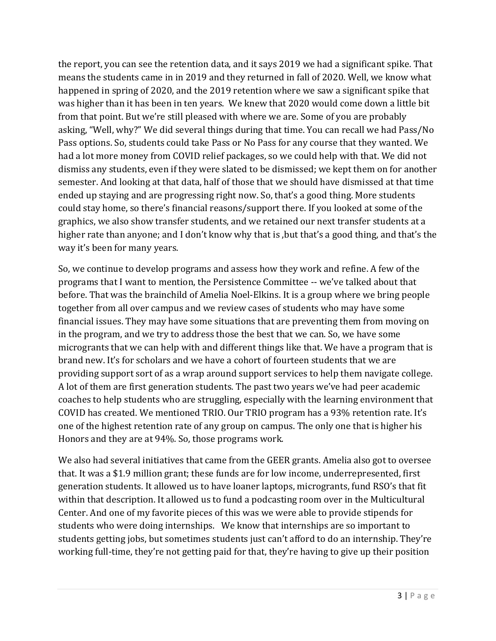the report, you can see the retention data, and it says 2019 we had a significant spike. That means the students came in in 2019 and they returned in fall of 2020. Well, we know what happened in spring of 2020, and the 2019 retention where we saw a significant spike that was higher than it has been in ten years. We knew that 2020 would come down a little bit from that point. But we're still pleased with where we are. Some of you are probably asking, "Well, why?" We did several things during that time. You can recall we had Pass/No Pass options. So, students could take Pass or No Pass for any course that they wanted. We had a lot more money from COVID relief packages, so we could help with that. We did not dismiss any students, even if they were slated to be dismissed; we kept them on for another semester. And looking at that data, half of those that we should have dismissed at that time ended up staying and are progressing right now. So, that's a good thing. More students could stay home, so there's financial reasons/support there. If you looked at some of the graphics, we also show transfer students, and we retained our next transfer students at a higher rate than anyone; and I don't know why that is , but that's a good thing, and that's the way it's been for many years.

So, we continue to develop programs and assess how they work and refine. A few of the programs that I want to mention, the Persistence Committee -- we've talked about that before. That was the brainchild of Amelia Noel-Elkins. It is a group where we bring people together from all over campus and we review cases of students who may have some financial issues. They may have some situations that are preventing them from moving on in the program, and we try to address those the best that we can. So, we have some microgrants that we can help with and different things like that. We have a program that is brand new. It's for scholars and we have a cohort of fourteen students that we are providing support sort of as a wrap around support services to help them navigate college. A lot of them are first generation students. The past two years we've had peer academic coaches to help students who are struggling, especially with the learning environment that COVID has created. We mentioned TRIO. Our TRIO program has a 93% retention rate. It's one of the highest retention rate of any group on campus. The only one that is higher his Honors and they are at 94%. So, those programs work.

We also had several initiatives that came from the GEER grants. Amelia also got to oversee that. It was a \$1.9 million grant; these funds are for low income, underrepresented, first generation students. It allowed us to have loaner laptops, microgrants, fund RSO's that fit within that description. It allowed us to fund a podcasting room over in the Multicultural Center. And one of my favorite pieces of this was we were able to provide stipends for students who were doing internships. We know that internships are so important to students getting jobs, but sometimes students just can't afford to do an internship. They're working full-time, they're not getting paid for that, they're having to give up their position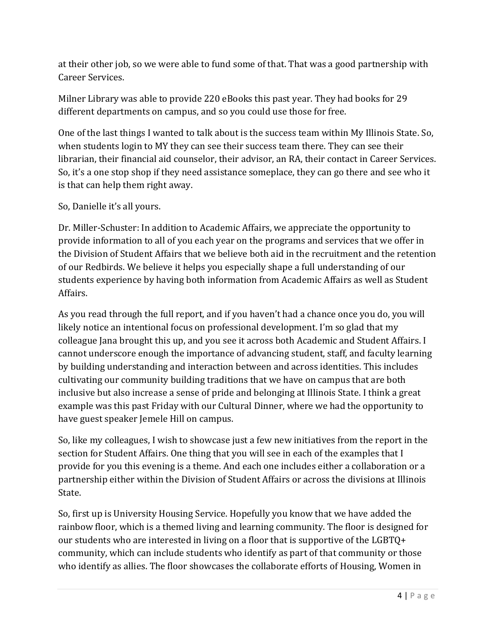at their other job, so we were able to fund some of that. That was a good partnership with Career Services.

Milner Library was able to provide 220 eBooks this past year. They had books for 29 different departments on campus, and so you could use those for free.

One of the last things I wanted to talk about is the success team within My Illinois State. So, when students login to MY they can see their success team there. They can see their librarian, their financial aid counselor, their advisor, an RA, their contact in Career Services. So, it's a one stop shop if they need assistance someplace, they can go there and see who it is that can help them right away.

## So, Danielle it's all yours.

Dr. Miller-Schuster: In addition to Academic Affairs, we appreciate the opportunity to provide information to all of you each year on the programs and services that we offer in the Division of Student Affairs that we believe both aid in the recruitment and the retention of our Redbirds. We believe it helps you especially shape a full understanding of our students experience by having both information from Academic Affairs as well as Student Affairs.

As you read through the full report, and if you haven't had a chance once you do, you will likely notice an intentional focus on professional development. I'm so glad that my colleague Jana brought this up, and you see it across both Academic and Student Affairs. I cannot underscore enough the importance of advancing student, staff, and faculty learning by building understanding and interaction between and across identities. This includes cultivating our community building traditions that we have on campus that are both inclusive but also increase a sense of pride and belonging at Illinois State. I think a great example was this past Friday with our Cultural Dinner, where we had the opportunity to have guest speaker Jemele Hill on campus.

So, like my colleagues, I wish to showcase just a few new initiatives from the report in the section for Student Affairs. One thing that you will see in each of the examples that I provide for you this evening is a theme. And each one includes either a collaboration or a partnership either within the Division of Student Affairs or across the divisions at Illinois State.

So, first up is University Housing Service. Hopefully you know that we have added the rainbow floor, which is a themed living and learning community. The floor is designed for our students who are interested in living on a floor that is supportive of the LGBTQ+ community, which can include students who identify as part of that community or those who identify as allies. The floor showcases the collaborate efforts of Housing, Women in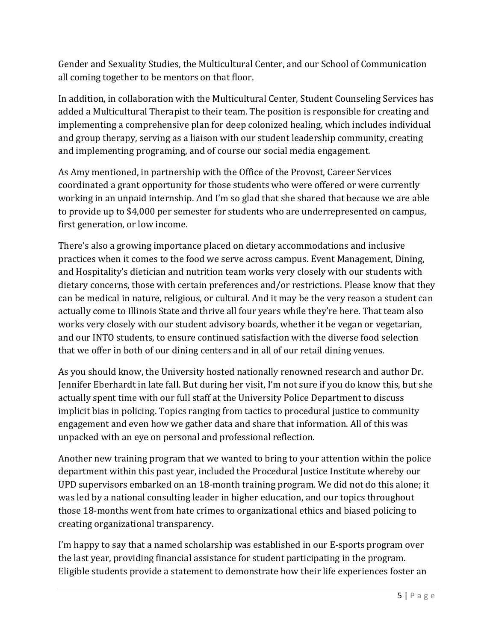Gender and Sexuality Studies, the Multicultural Center, and our School of Communication all coming together to be mentors on that floor.

In addition, in collaboration with the Multicultural Center, Student Counseling Services has added a Multicultural Therapist to their team. The position is responsible for creating and implementing a comprehensive plan for deep colonized healing, which includes individual and group therapy, serving as a liaison with our student leadership community, creating and implementing programing, and of course our social media engagement.

As Amy mentioned, in partnership with the Office of the Provost, Career Services coordinated a grant opportunity for those students who were offered or were currently working in an unpaid internship. And I'm so glad that she shared that because we are able to provide up to \$4,000 per semester for students who are underrepresented on campus, first generation, or low income.

There's also a growing importance placed on dietary accommodations and inclusive practices when it comes to the food we serve across campus. Event Management, Dining, and Hospitality's dietician and nutrition team works very closely with our students with dietary concerns, those with certain preferences and/or restrictions. Please know that they can be medical in nature, religious, or cultural. And it may be the very reason a student can actually come to Illinois State and thrive all four years while they're here. That team also works very closely with our student advisory boards, whether it be vegan or vegetarian, and our INTO students, to ensure continued satisfaction with the diverse food selection that we offer in both of our dining centers and in all of our retail dining venues.

As you should know, the University hosted nationally renowned research and author Dr. Jennifer Eberhardt in late fall. But during her visit, I'm not sure if you do know this, but she actually spent time with our full staff at the University Police Department to discuss implicit bias in policing. Topics ranging from tactics to procedural justice to community engagement and even how we gather data and share that information. All of this was unpacked with an eye on personal and professional reflection.

Another new training program that we wanted to bring to your attention within the police department within this past year, included the Procedural Justice Institute whereby our UPD supervisors embarked on an 18-month training program. We did not do this alone; it was led by a national consulting leader in higher education, and our topics throughout those 18-months went from hate crimes to organizational ethics and biased policing to creating organizational transparency.

I'm happy to say that a named scholarship was established in our E-sports program over the last year, providing financial assistance for student participating in the program. Eligible students provide a statement to demonstrate how their life experiences foster an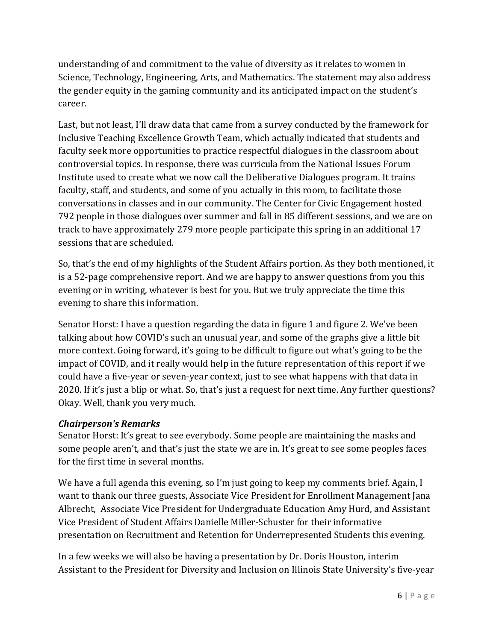understanding of and commitment to the value of diversity as it relates to women in Science, Technology, Engineering, Arts, and Mathematics. The statement may also address the gender equity in the gaming community and its anticipated impact on the student's career.

Last, but not least, I'll draw data that came from a survey conducted by the framework for Inclusive Teaching Excellence Growth Team, which actually indicated that students and faculty seek more opportunities to practice respectful dialogues in the classroom about controversial topics. In response, there was curricula from the National Issues Forum Institute used to create what we now call the Deliberative Dialogues program. It trains faculty, staff, and students, and some of you actually in this room, to facilitate those conversations in classes and in our community. The Center for Civic Engagement hosted 792 people in those dialogues over summer and fall in 85 different sessions, and we are on track to have approximately 279 more people participate this spring in an additional 17 sessions that are scheduled.

So, that's the end of my highlights of the Student Affairs portion. As they both mentioned, it is a 52-page comprehensive report. And we are happy to answer questions from you this evening or in writing, whatever is best for you. But we truly appreciate the time this evening to share this information.

Senator Horst: I have a question regarding the data in figure 1 and figure 2. We've been talking about how COVID's such an unusual year, and some of the graphs give a little bit more context. Going forward, it's going to be difficult to figure out what's going to be the impact of COVID, and it really would help in the future representation of this report if we could have a five-year or seven-year context, just to see what happens with that data in 2020. If it's just a blip or what. So, that's just a request for next time. Any further questions? Okay. Well, thank you very much.

## *Chairperson's Remarks*

Senator Horst: It's great to see everybody. Some people are maintaining the masks and some people aren't, and that's just the state we are in. It's great to see some peoples faces for the first time in several months.

We have a full agenda this evening, so I'm just going to keep my comments brief. Again, I want to thank our three guests, Associate Vice President for Enrollment Management Jana Albrecht, Associate Vice President for Undergraduate Education Amy Hurd, and Assistant Vice President of Student Affairs Danielle Miller-Schuster for their informative presentation on Recruitment and Retention for Underrepresented Students this evening.

In a few weeks we will also be having a presentation by Dr. Doris Houston, interim Assistant to the President for Diversity and Inclusion on Illinois State University's five-year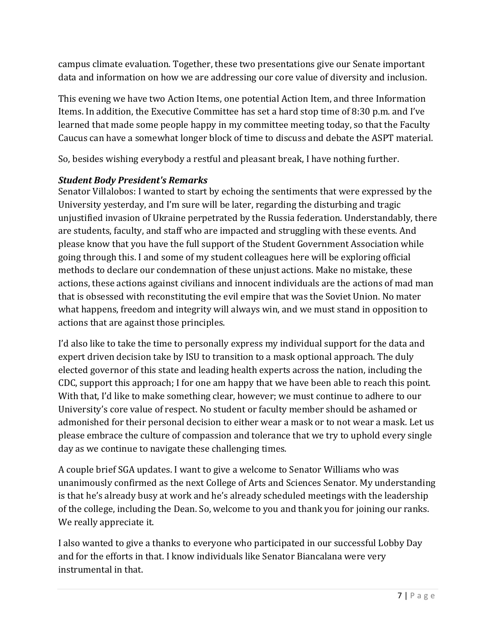campus climate evaluation. Together, these two presentations give our Senate important data and information on how we are addressing our core value of diversity and inclusion.

This evening we have two Action Items, one potential Action Item, and three Information Items. In addition, the Executive Committee has set a hard stop time of 8:30 p.m. and I've learned that made some people happy in my committee meeting today, so that the Faculty Caucus can have a somewhat longer block of time to discuss and debate the ASPT material.

So, besides wishing everybody a restful and pleasant break, I have nothing further.

## *Student Body President's Remarks*

Senator Villalobos: I wanted to start by echoing the sentiments that were expressed by the University yesterday, and I'm sure will be later, regarding the disturbing and tragic unjustified invasion of Ukraine perpetrated by the Russia federation. Understandably, there are students, faculty, and staff who are impacted and struggling with these events. And please know that you have the full support of the Student Government Association while going through this. I and some of my student colleagues here will be exploring official methods to declare our condemnation of these unjust actions. Make no mistake, these actions, these actions against civilians and innocent individuals are the actions of mad man that is obsessed with reconstituting the evil empire that was the Soviet Union. No mater what happens, freedom and integrity will always win, and we must stand in opposition to actions that are against those principles.

I'd also like to take the time to personally express my individual support for the data and expert driven decision take by ISU to transition to a mask optional approach. The duly elected governor of this state and leading health experts across the nation, including the CDC, support this approach; I for one am happy that we have been able to reach this point. With that, I'd like to make something clear, however; we must continue to adhere to our University's core value of respect. No student or faculty member should be ashamed or admonished for their personal decision to either wear a mask or to not wear a mask. Let us please embrace the culture of compassion and tolerance that we try to uphold every single day as we continue to navigate these challenging times.

A couple brief SGA updates. I want to give a welcome to Senator Williams who was unanimously confirmed as the next College of Arts and Sciences Senator. My understanding is that he's already busy at work and he's already scheduled meetings with the leadership of the college, including the Dean. So, welcome to you and thank you for joining our ranks. We really appreciate it.

I also wanted to give a thanks to everyone who participated in our successful Lobby Day and for the efforts in that. I know individuals like Senator Biancalana were very instrumental in that.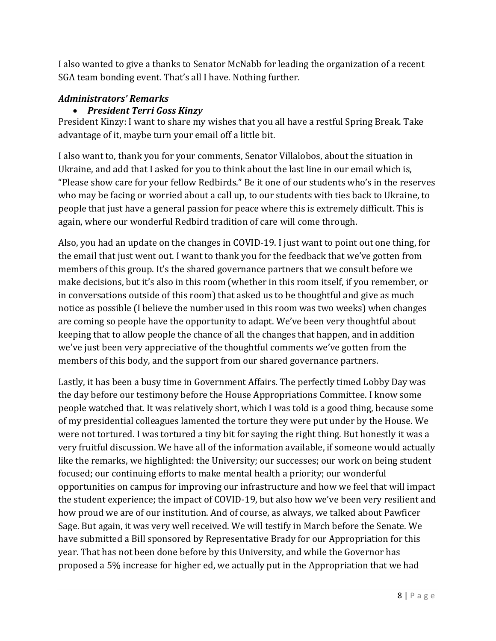I also wanted to give a thanks to Senator McNabb for leading the organization of a recent SGA team bonding event. That's all I have. Nothing further.

## *Administrators' Remarks*

## • *President Terri Goss Kinzy*

President Kinzy: I want to share my wishes that you all have a restful Spring Break. Take advantage of it, maybe turn your email off a little bit.

I also want to, thank you for your comments, Senator Villalobos, about the situation in Ukraine, and add that I asked for you to think about the last line in our email which is, "Please show care for your fellow Redbirds." Be it one of our students who's in the reserves who may be facing or worried about a call up, to our students with ties back to Ukraine, to people that just have a general passion for peace where this is extremely difficult. This is again, where our wonderful Redbird tradition of care will come through.

Also, you had an update on the changes in COVID-19. I just want to point out one thing, for the email that just went out. I want to thank you for the feedback that we've gotten from members of this group. It's the shared governance partners that we consult before we make decisions, but it's also in this room (whether in this room itself, if you remember, or in conversations outside of this room) that asked us to be thoughtful and give as much notice as possible (I believe the number used in this room was two weeks) when changes are coming so people have the opportunity to adapt. We've been very thoughtful about keeping that to allow people the chance of all the changes that happen, and in addition we've just been very appreciative of the thoughtful comments we've gotten from the members of this body, and the support from our shared governance partners.

Lastly, it has been a busy time in Government Affairs. The perfectly timed Lobby Day was the day before our testimony before the House Appropriations Committee. I know some people watched that. It was relatively short, which I was told is a good thing, because some of my presidential colleagues lamented the torture they were put under by the House. We were not tortured. I was tortured a tiny bit for saying the right thing. But honestly it was a very fruitful discussion. We have all of the information available, if someone would actually like the remarks, we highlighted: the University; our successes; our work on being student focused; our continuing efforts to make mental health a priority; our wonderful opportunities on campus for improving our infrastructure and how we feel that will impact the student experience; the impact of COVID-19, but also how we've been very resilient and how proud we are of our institution. And of course, as always, we talked about Pawficer Sage. But again, it was very well received. We will testify in March before the Senate. We have submitted a Bill sponsored by Representative Brady for our Appropriation for this year. That has not been done before by this University, and while the Governor has proposed a 5% increase for higher ed, we actually put in the Appropriation that we had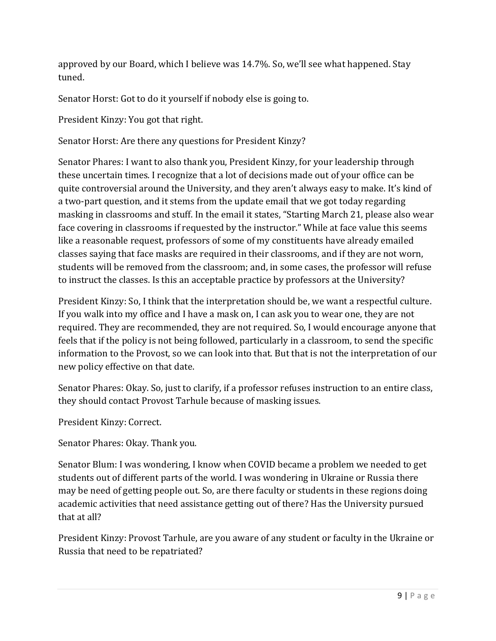approved by our Board, which I believe was 14.7%. So, we'll see what happened. Stay tuned.

Senator Horst: Got to do it yourself if nobody else is going to.

President Kinzy: You got that right.

Senator Horst: Are there any questions for President Kinzy?

Senator Phares: I want to also thank you, President Kinzy, for your leadership through these uncertain times. I recognize that a lot of decisions made out of your office can be quite controversial around the University, and they aren't always easy to make. It's kind of a two-part question, and it stems from the update email that we got today regarding masking in classrooms and stuff. In the email it states, "Starting March 21, please also wear face covering in classrooms if requested by the instructor." While at face value this seems like a reasonable request, professors of some of my constituents have already emailed classes saying that face masks are required in their classrooms, and if they are not worn, students will be removed from the classroom; and, in some cases, the professor will refuse to instruct the classes. Is this an acceptable practice by professors at the University?

President Kinzy: So, I think that the interpretation should be, we want a respectful culture. If you walk into my office and I have a mask on, I can ask you to wear one, they are not required. They are recommended, they are not required. So, I would encourage anyone that feels that if the policy is not being followed, particularly in a classroom, to send the specific information to the Provost, so we can look into that. But that is not the interpretation of our new policy effective on that date.

Senator Phares: Okay. So, just to clarify, if a professor refuses instruction to an entire class, they should contact Provost Tarhule because of masking issues.

President Kinzy: Correct.

Senator Phares: Okay. Thank you.

Senator Blum: I was wondering, I know when COVID became a problem we needed to get students out of different parts of the world. I was wondering in Ukraine or Russia there may be need of getting people out. So, are there faculty or students in these regions doing academic activities that need assistance getting out of there? Has the University pursued that at all?

President Kinzy: Provost Tarhule, are you aware of any student or faculty in the Ukraine or Russia that need to be repatriated?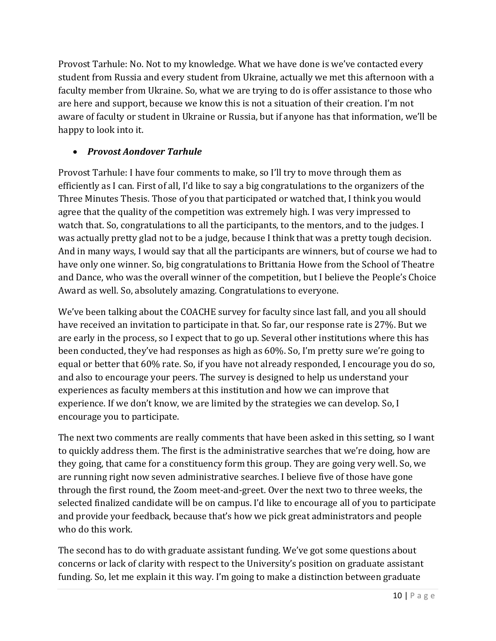Provost Tarhule: No. Not to my knowledge. What we have done is we've contacted every student from Russia and every student from Ukraine, actually we met this afternoon with a faculty member from Ukraine. So, what we are trying to do is offer assistance to those who are here and support, because we know this is not a situation of their creation. I'm not aware of faculty or student in Ukraine or Russia, but if anyone has that information, we'll be happy to look into it.

## • *Provost Aondover Tarhule*

Provost Tarhule: I have four comments to make, so I'll try to move through them as efficiently as I can. First of all, I'd like to say a big congratulations to the organizers of the Three Minutes Thesis. Those of you that participated or watched that, I think you would agree that the quality of the competition was extremely high. I was very impressed to watch that. So, congratulations to all the participants, to the mentors, and to the judges. I was actually pretty glad not to be a judge, because I think that was a pretty tough decision. And in many ways, I would say that all the participants are winners, but of course we had to have only one winner. So, big congratulations to Brittania Howe from the School of Theatre and Dance, who was the overall winner of the competition, but I believe the People's Choice Award as well. So, absolutely amazing. Congratulations to everyone.

We've been talking about the COACHE survey for faculty since last fall, and you all should have received an invitation to participate in that. So far, our response rate is 27%. But we are early in the process, so I expect that to go up. Several other institutions where this has been conducted, they've had responses as high as 60%. So, I'm pretty sure we're going to equal or better that 60% rate. So, if you have not already responded, I encourage you do so, and also to encourage your peers. The survey is designed to help us understand your experiences as faculty members at this institution and how we can improve that experience. If we don't know, we are limited by the strategies we can develop. So, I encourage you to participate.

The next two comments are really comments that have been asked in this setting, so I want to quickly address them. The first is the administrative searches that we're doing, how are they going, that came for a constituency form this group. They are going very well. So, we are running right now seven administrative searches. I believe five of those have gone through the first round, the Zoom meet-and-greet. Over the next two to three weeks, the selected finalized candidate will be on campus. I'd like to encourage all of you to participate and provide your feedback, because that's how we pick great administrators and people who do this work.

The second has to do with graduate assistant funding. We've got some questions about concerns or lack of clarity with respect to the University's position on graduate assistant funding. So, let me explain it this way. I'm going to make a distinction between graduate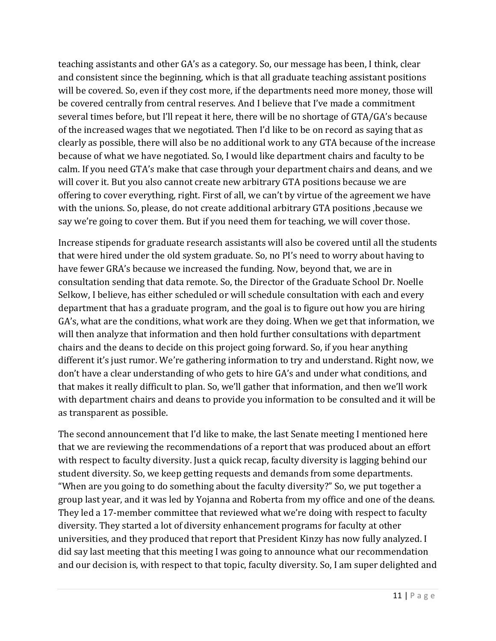teaching assistants and other GA's as a category. So, our message has been, I think, clear and consistent since the beginning, which is that all graduate teaching assistant positions will be covered. So, even if they cost more, if the departments need more money, those will be covered centrally from central reserves. And I believe that I've made a commitment several times before, but I'll repeat it here, there will be no shortage of GTA/GA's because of the increased wages that we negotiated. Then I'd like to be on record as saying that as clearly as possible, there will also be no additional work to any GTA because of the increase because of what we have negotiated. So, I would like department chairs and faculty to be calm. If you need GTA's make that case through your department chairs and deans, and we will cover it. But you also cannot create new arbitrary GTA positions because we are offering to cover everything, right. First of all, we can't by virtue of the agreement we have with the unions. So, please, do not create additional arbitrary GTA positions ,because we say we're going to cover them. But if you need them for teaching, we will cover those.

Increase stipends for graduate research assistants will also be covered until all the students that were hired under the old system graduate. So, no PI's need to worry about having to have fewer GRA's because we increased the funding. Now, beyond that, we are in consultation sending that data remote. So, the Director of the Graduate School Dr. Noelle Selkow, I believe, has either scheduled or will schedule consultation with each and every department that has a graduate program, and the goal is to figure out how you are hiring GA's, what are the conditions, what work are they doing. When we get that information, we will then analyze that information and then hold further consultations with department chairs and the deans to decide on this project going forward. So, if you hear anything different it's just rumor. We're gathering information to try and understand. Right now, we don't have a clear understanding of who gets to hire GA's and under what conditions, and that makes it really difficult to plan. So, we'll gather that information, and then we'll work with department chairs and deans to provide you information to be consulted and it will be as transparent as possible.

The second announcement that I'd like to make, the last Senate meeting I mentioned here that we are reviewing the recommendations of a report that was produced about an effort with respect to faculty diversity. Just a quick recap, faculty diversity is lagging behind our student diversity. So, we keep getting requests and demands from some departments. "When are you going to do something about the faculty diversity?" So, we put together a group last year, and it was led by Yojanna and Roberta from my office and one of the deans. They led a 17-member committee that reviewed what we're doing with respect to faculty diversity. They started a lot of diversity enhancement programs for faculty at other universities, and they produced that report that President Kinzy has now fully analyzed. I did say last meeting that this meeting I was going to announce what our recommendation and our decision is, with respect to that topic, faculty diversity. So, I am super delighted and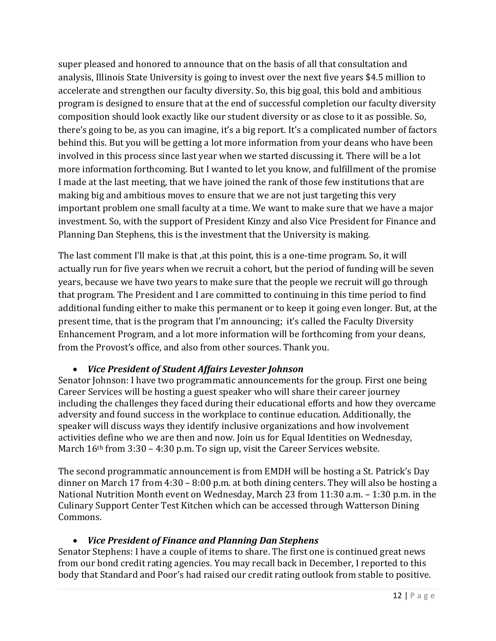super pleased and honored to announce that on the basis of all that consultation and analysis, Illinois State University is going to invest over the next five years \$4.5 million to accelerate and strengthen our faculty diversity. So, this big goal, this bold and ambitious program is designed to ensure that at the end of successful completion our faculty diversity composition should look exactly like our student diversity or as close to it as possible. So, there's going to be, as you can imagine, it's a big report. It's a complicated number of factors behind this. But you will be getting a lot more information from your deans who have been involved in this process since last year when we started discussing it. There will be a lot more information forthcoming. But I wanted to let you know, and fulfillment of the promise I made at the last meeting, that we have joined the rank of those few institutions that are making big and ambitious moves to ensure that we are not just targeting this very important problem one small faculty at a time. We want to make sure that we have a major investment. So, with the support of President Kinzy and also Vice President for Finance and Planning Dan Stephens, this is the investment that the University is making.

The last comment I'll make is that ,at this point, this is a one-time program. So, it will actually run for five years when we recruit a cohort, but the period of funding will be seven years, because we have two years to make sure that the people we recruit will go through that program. The President and I are committed to continuing in this time period to find additional funding either to make this permanent or to keep it going even longer. But, at the present time, that is the program that I'm announcing; it's called the Faculty Diversity Enhancement Program, and a lot more information will be forthcoming from your deans, from the Provost's office, and also from other sources. Thank you.

## • *Vice President of Student Affairs Levester Johnson*

Senator Johnson: I have two programmatic announcements for the group. First one being Career Services will be hosting a guest speaker who will share their career journey including the challenges they faced during their educational efforts and how they overcame adversity and found success in the workplace to continue education. Additionally, the speaker will discuss ways they identify inclusive organizations and how involvement activities define who we are then and now. Join us for Equal Identities on Wednesday, March 16<sup>th</sup> from 3:30 – 4:30 p.m. To sign up, visit the Career Services website.

The second programmatic announcement is from EMDH will be hosting a St. Patrick's Day dinner on March 17 from 4:30 – 8:00 p.m. at both dining centers. They will also be hosting a National Nutrition Month event on Wednesday, March 23 from 11:30 a.m. – 1:30 p.m. in the Culinary Support Center Test Kitchen which can be accessed through Watterson Dining Commons.

## • *Vice President of Finance and Planning Dan Stephens*

Senator Stephens: I have a couple of items to share. The first one is continued great news from our bond credit rating agencies. You may recall back in December, I reported to this body that Standard and Poor's had raised our credit rating outlook from stable to positive.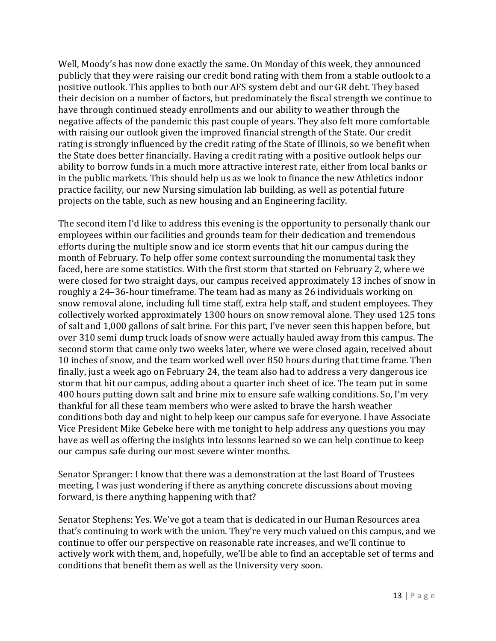Well, Moody's has now done exactly the same. On Monday of this week, they announced publicly that they were raising our credit bond rating with them from a stable outlook to a positive outlook. This applies to both our AFS system debt and our GR debt. They based their decision on a number of factors, but predominately the fiscal strength we continue to have through continued steady enrollments and our ability to weather through the negative affects of the pandemic this past couple of years. They also felt more comfortable with raising our outlook given the improved financial strength of the State. Our credit rating is strongly influenced by the credit rating of the State of Illinois, so we benefit when the State does better financially. Having a credit rating with a positive outlook helps our ability to borrow funds in a much more attractive interest rate, either from local banks or in the public markets. This should help us as we look to finance the new Athletics indoor practice facility, our new Nursing simulation lab building, as well as potential future projects on the table, such as new housing and an Engineering facility.

The second item I'd like to address this evening is the opportunity to personally thank our employees within our facilities and grounds team for their dedication and tremendous efforts during the multiple snow and ice storm events that hit our campus during the month of February. To help offer some context surrounding the monumental task they faced, here are some statistics. With the first storm that started on February 2, where we were closed for two straight days, our campus received approximately 13 inches of snow in roughly a 24–36-hour timeframe. The team had as many as 26 individuals working on snow removal alone, including full time staff, extra help staff, and student employees. They collectively worked approximately 1300 hours on snow removal alone. They used 125 tons of salt and 1,000 gallons of salt brine. For this part, I've never seen this happen before, but over 310 semi dump truck loads of snow were actually hauled away from this campus. The second storm that came only two weeks later, where we were closed again, received about 10 inches of snow, and the team worked well over 850 hours during that time frame. Then finally, just a week ago on February 24, the team also had to address a very dangerous ice storm that hit our campus, adding about a quarter inch sheet of ice. The team put in some 400 hours putting down salt and brine mix to ensure safe walking conditions. So, I'm very thankful for all these team members who were asked to brave the harsh weather conditions both day and night to help keep our campus safe for everyone. I have Associate Vice President Mike Gebeke here with me tonight to help address any questions you may have as well as offering the insights into lessons learned so we can help continue to keep our campus safe during our most severe winter months.

Senator Spranger: I know that there was a demonstration at the last Board of Trustees meeting, I was just wondering if there as anything concrete discussions about moving forward, is there anything happening with that?

Senator Stephens: Yes. We've got a team that is dedicated in our Human Resources area that's continuing to work with the union. They're very much valued on this campus, and we continue to offer our perspective on reasonable rate increases, and we'll continue to actively work with them, and, hopefully, we'll be able to find an acceptable set of terms and conditions that benefit them as well as the University very soon.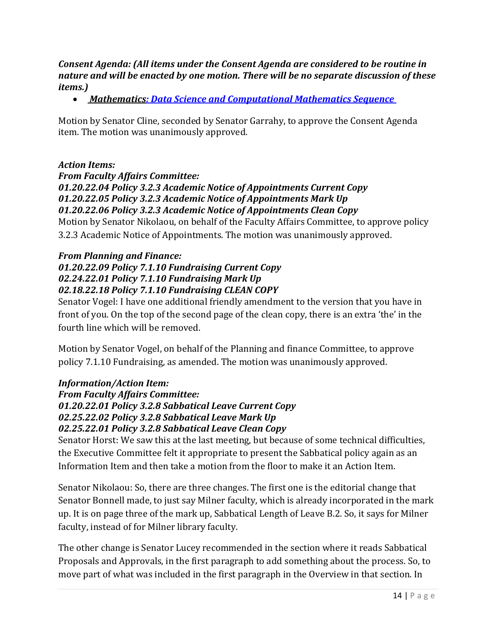#### *Consent Agenda: (All items under the Consent Agenda are considered to be routine in nature and will be enacted by one motion. There will be no separate discussion of these items.)*

• *[Mathematics: Data Science and Computational Mathematics Sequence](https://academicsenate.illinoisstate.edu/consent/2022-02%20Data%20Science%20and%20Computational%20Mathematics%20Sequence.pdf)* 

Motion by Senator Cline, seconded by Senator Garrahy, to approve the Consent Agenda item. The motion was unanimously approved.

#### *Action Items:*

*From Faculty Affairs Committee:* 

## *01.20.22.04 Policy 3.2.3 Academic Notice of Appointments Current Copy 01.20.22.05 Policy 3.2.3 Academic Notice of Appointments Mark Up*

*01.20.22.06 Policy 3.2.3 Academic Notice of Appointments Clean Copy*

Motion by Senator Nikolaou, on behalf of the Faculty Affairs Committee, to approve policy 3.2.3 Academic Notice of Appointments. The motion was unanimously approved.

#### *From Planning and Finance:*

#### *01.20.22.09 Policy 7.1.10 Fundraising Current Copy 02.24.22.01 Policy 7.1.10 Fundraising Mark Up 02.18.22.18 Policy 7.1.10 Fundraising CLEAN COPY*

Senator Vogel: I have one additional friendly amendment to the version that you have in front of you. On the top of the second page of the clean copy, there is an extra 'the' in the fourth line which will be removed.

Motion by Senator Vogel, on behalf of the Planning and finance Committee, to approve policy 7.1.10 Fundraising, as amended. The motion was unanimously approved.

#### *Information/Action Item:*

*From Faculty Affairs Committee: 01.20.22.01 Policy 3.2.8 Sabbatical Leave Current Copy 02.25.22.02 Policy 3.2.8 Sabbatical Leave Mark Up 02.25.22.01 Policy 3.2.8 Sabbatical Leave Clean Copy*

Senator Horst: We saw this at the last meeting, but because of some technical difficulties, the Executive Committee felt it appropriate to present the Sabbatical policy again as an Information Item and then take a motion from the floor to make it an Action Item.

Senator Nikolaou: So, there are three changes. The first one is the editorial change that Senator Bonnell made, to just say Milner faculty, which is already incorporated in the mark up. It is on page three of the mark up, Sabbatical Length of Leave B.2. So, it says for Milner faculty, instead of for Milner library faculty.

The other change is Senator Lucey recommended in the section where it reads Sabbatical Proposals and Approvals, in the first paragraph to add something about the process. So, to move part of what was included in the first paragraph in the Overview in that section. In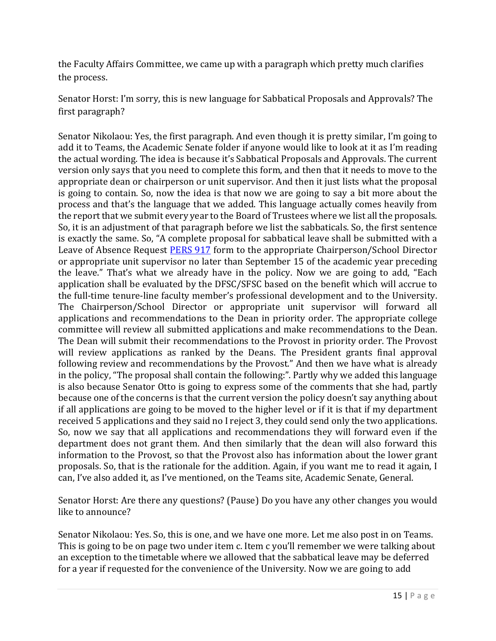the Faculty Affairs Committee, we came up with a paragraph which pretty much clarifies the process.

Senator Horst: I'm sorry, this is new language for Sabbatical Proposals and Approvals? The first paragraph?

Senator Nikolaou: Yes, the first paragraph. And even though it is pretty similar, I'm going to add it to Teams, the Academic Senate folder if anyone would like to look at it as I'm reading the actual wording. The idea is because it's Sabbatical Proposals and Approvals. The current version only says that you need to complete this form, and then that it needs to move to the appropriate dean or chairperson or unit supervisor. And then it just lists what the proposal is going to contain. So, now the idea is that now we are going to say a bit more about the process and that's the language that we added. This language actually comes heavily from the report that we submit every year to the Board of Trustees where we list all the proposals. So, it is an adjustment of that paragraph before we list the sabbaticals. So, the first sentence is exactly the same. So, "A complete proposal for sabbatical leave shall be submitted with a Leave of Absence Request [PERS 917](https://hr.illinoisstate.edu/forms/#tabs-accord4) form to the appropriate Chairperson/School Director or appropriate unit supervisor no later than September 15 of the academic year preceding the leave." That's what we already have in the policy. Now we are going to add, "Each application shall be evaluated by the DFSC/SFSC based on the benefit which will accrue to the full-time tenure-line faculty member's professional development and to the University. The Chairperson/School Director or appropriate unit supervisor will forward all applications and recommendations to the Dean in priority order. The appropriate college committee will review all submitted applications and make recommendations to the Dean. The Dean will submit their recommendations to the Provost in priority order. The Provost will review applications as ranked by the Deans. The President grants final approval following review and recommendations by the Provost." And then we have what is already in the policy, "The proposal shall contain the following:". Partly why we added this language is also because Senator Otto is going to express some of the comments that she had, partly because one of the concerns is that the current version the policy doesn't say anything about if all applications are going to be moved to the higher level or if it is that if my department received 5 applications and they said no I reject 3, they could send only the two applications. So, now we say that all applications and recommendations they will forward even if the department does not grant them. And then similarly that the dean will also forward this information to the Provost, so that the Provost also has information about the lower grant proposals. So, that is the rationale for the addition. Again, if you want me to read it again, I can, I've also added it, as I've mentioned, on the Teams site, Academic Senate, General.

Senator Horst: Are there any questions? (Pause) Do you have any other changes you would like to announce?

Senator Nikolaou: Yes. So, this is one, and we have one more. Let me also post in on Teams. This is going to be on page two under item c. Item c you'll remember we were talking about an exception to the timetable where we allowed that the sabbatical leave may be deferred for a year if requested for the convenience of the University. Now we are going to add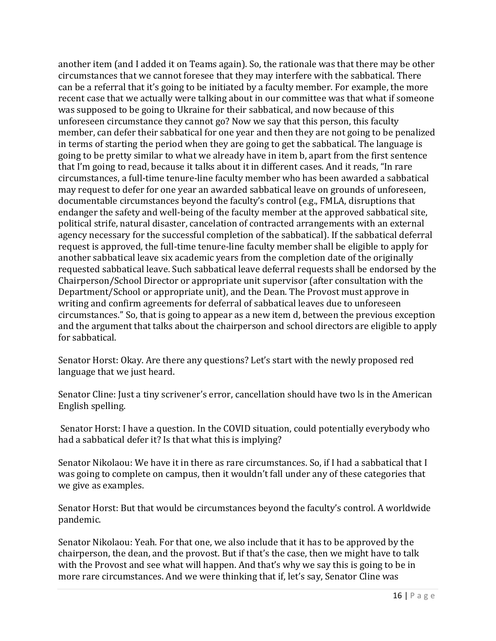another item (and I added it on Teams again). So, the rationale was that there may be other circumstances that we cannot foresee that they may interfere with the sabbatical. There can be a referral that it's going to be initiated by a faculty member. For example, the more recent case that we actually were talking about in our committee was that what if someone was supposed to be going to Ukraine for their sabbatical, and now because of this unforeseen circumstance they cannot go? Now we say that this person, this faculty member, can defer their sabbatical for one year and then they are not going to be penalized in terms of starting the period when they are going to get the sabbatical. The language is going to be pretty similar to what we already have in item b, apart from the first sentence that I'm going to read, because it talks about it in different cases. And it reads, "In rare circumstances, a full-time tenure-line faculty member who has been awarded a sabbatical may request to defer for one year an awarded sabbatical leave on grounds of unforeseen, documentable circumstances beyond the faculty's control (e.g., FMLA, disruptions that endanger the safety and well-being of the faculty member at the approved sabbatical site, political strife, natural disaster, cancelation of contracted arrangements with an external agency necessary for the successful completion of the sabbatical). If the sabbatical deferral request is approved, the full-time tenure-line faculty member shall be eligible to apply for another sabbatical leave six academic years from the completion date of the originally requested sabbatical leave. Such sabbatical leave deferral requests shall be endorsed by the Chairperson/School Director or appropriate unit supervisor (after consultation with the Department/School or appropriate unit), and the Dean. The Provost must approve in writing and confirm agreements for deferral of sabbatical leaves due to unforeseen circumstances." So, that is going to appear as a new item d, between the previous exception and the argument that talks about the chairperson and school directors are eligible to apply for sabbatical.

Senator Horst: Okay. Are there any questions? Let's start with the newly proposed red language that we just heard.

Senator Cline: Just a tiny scrivener's error, cancellation should have two ls in the American English spelling.

Senator Horst: I have a question. In the COVID situation, could potentially everybody who had a sabbatical defer it? Is that what this is implying?

Senator Nikolaou: We have it in there as rare circumstances. So, if I had a sabbatical that I was going to complete on campus, then it wouldn't fall under any of these categories that we give as examples.

Senator Horst: But that would be circumstances beyond the faculty's control. A worldwide pandemic.

Senator Nikolaou: Yeah. For that one, we also include that it has to be approved by the chairperson, the dean, and the provost. But if that's the case, then we might have to talk with the Provost and see what will happen. And that's why we say this is going to be in more rare circumstances. And we were thinking that if, let's say, Senator Cline was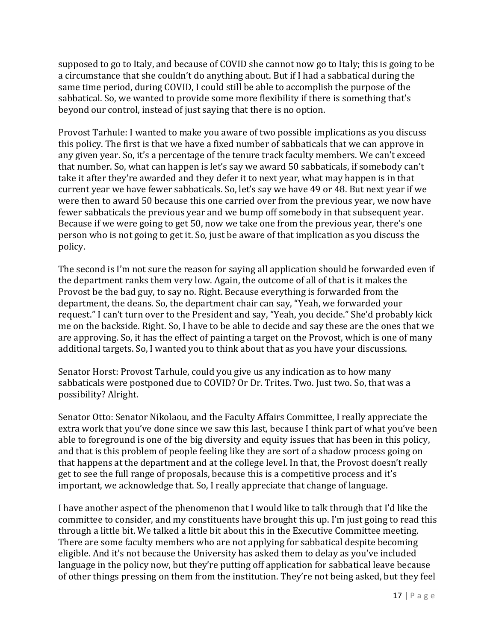supposed to go to Italy, and because of COVID she cannot now go to Italy; this is going to be a circumstance that she couldn't do anything about. But if I had a sabbatical during the same time period, during COVID, I could still be able to accomplish the purpose of the sabbatical. So, we wanted to provide some more flexibility if there is something that's beyond our control, instead of just saying that there is no option.

Provost Tarhule: I wanted to make you aware of two possible implications as you discuss this policy. The first is that we have a fixed number of sabbaticals that we can approve in any given year. So, it's a percentage of the tenure track faculty members. We can't exceed that number. So, what can happen is let's say we award 50 sabbaticals, if somebody can't take it after they're awarded and they defer it to next year, what may happen is in that current year we have fewer sabbaticals. So, let's say we have 49 or 48. But next year if we were then to award 50 because this one carried over from the previous year, we now have fewer sabbaticals the previous year and we bump off somebody in that subsequent year. Because if we were going to get 50, now we take one from the previous year, there's one person who is not going to get it. So, just be aware of that implication as you discuss the policy.

The second is I'm not sure the reason for saying all application should be forwarded even if the department ranks them very low. Again, the outcome of all of that is it makes the Provost be the bad guy, to say no. Right. Because everything is forwarded from the department, the deans. So, the department chair can say, "Yeah, we forwarded your request." I can't turn over to the President and say, "Yeah, you decide." She'd probably kick me on the backside. Right. So, I have to be able to decide and say these are the ones that we are approving. So, it has the effect of painting a target on the Provost, which is one of many additional targets. So, I wanted you to think about that as you have your discussions.

Senator Horst: Provost Tarhule, could you give us any indication as to how many sabbaticals were postponed due to COVID? Or Dr. Trites. Two. Just two. So, that was a possibility? Alright.

Senator Otto: Senator Nikolaou, and the Faculty Affairs Committee, I really appreciate the extra work that you've done since we saw this last, because I think part of what you've been able to foreground is one of the big diversity and equity issues that has been in this policy, and that is this problem of people feeling like they are sort of a shadow process going on that happens at the department and at the college level. In that, the Provost doesn't really get to see the full range of proposals, because this is a competitive process and it's important, we acknowledge that. So, I really appreciate that change of language.

I have another aspect of the phenomenon that I would like to talk through that I'd like the committee to consider, and my constituents have brought this up. I'm just going to read this through a little bit. We talked a little bit about this in the Executive Committee meeting. There are some faculty members who are not applying for sabbatical despite becoming eligible. And it's not because the University has asked them to delay as you've included language in the policy now, but they're putting off application for sabbatical leave because of other things pressing on them from the institution. They're not being asked, but they feel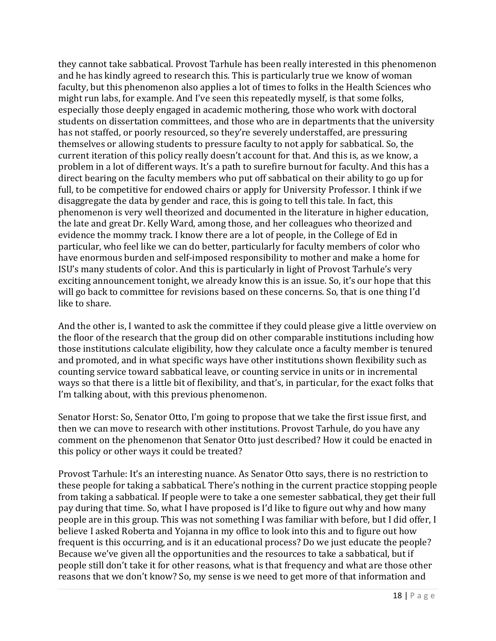they cannot take sabbatical. Provost Tarhule has been really interested in this phenomenon and he has kindly agreed to research this. This is particularly true we know of woman faculty, but this phenomenon also applies a lot of times to folks in the Health Sciences who might run labs, for example. And I've seen this repeatedly myself, is that some folks, especially those deeply engaged in academic mothering, those who work with doctoral students on dissertation committees, and those who are in departments that the university has not staffed, or poorly resourced, so they're severely understaffed, are pressuring themselves or allowing students to pressure faculty to not apply for sabbatical. So, the current iteration of this policy really doesn't account for that. And this is, as we know, a problem in a lot of different ways. It's a path to surefire burnout for faculty. And this has a direct bearing on the faculty members who put off sabbatical on their ability to go up for full, to be competitive for endowed chairs or apply for University Professor. I think if we disaggregate the data by gender and race, this is going to tell this tale. In fact, this phenomenon is very well theorized and documented in the literature in higher education, the late and great Dr. Kelly Ward, among those, and her colleagues who theorized and evidence the mommy track. I know there are a lot of people, in the College of Ed in particular, who feel like we can do better, particularly for faculty members of color who have enormous burden and self-imposed responsibility to mother and make a home for ISU's many students of color. And this is particularly in light of Provost Tarhule's very exciting announcement tonight, we already know this is an issue. So, it's our hope that this will go back to committee for revisions based on these concerns. So, that is one thing I'd like to share.

And the other is, I wanted to ask the committee if they could please give a little overview on the floor of the research that the group did on other comparable institutions including how those institutions calculate eligibility, how they calculate once a faculty member is tenured and promoted, and in what specific ways have other institutions shown flexibility such as counting service toward sabbatical leave, or counting service in units or in incremental ways so that there is a little bit of flexibility, and that's, in particular, for the exact folks that I'm talking about, with this previous phenomenon.

Senator Horst: So, Senator Otto, I'm going to propose that we take the first issue first, and then we can move to research with other institutions. Provost Tarhule, do you have any comment on the phenomenon that Senator Otto just described? How it could be enacted in this policy or other ways it could be treated?

Provost Tarhule: It's an interesting nuance. As Senator Otto says, there is no restriction to these people for taking a sabbatical. There's nothing in the current practice stopping people from taking a sabbatical. If people were to take a one semester sabbatical, they get their full pay during that time. So, what I have proposed is I'd like to figure out why and how many people are in this group. This was not something I was familiar with before, but I did offer, I believe I asked Roberta and Yojanna in my office to look into this and to figure out how frequent is this occurring, and is it an educational process? Do we just educate the people? Because we've given all the opportunities and the resources to take a sabbatical, but if people still don't take it for other reasons, what is that frequency and what are those other reasons that we don't know? So, my sense is we need to get more of that information and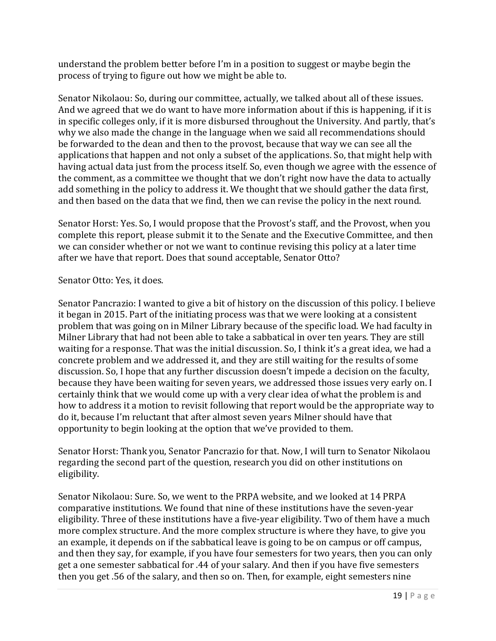understand the problem better before I'm in a position to suggest or maybe begin the process of trying to figure out how we might be able to.

Senator Nikolaou: So, during our committee, actually, we talked about all of these issues. And we agreed that we do want to have more information about if this is happening, if it is in specific colleges only, if it is more disbursed throughout the University. And partly, that's why we also made the change in the language when we said all recommendations should be forwarded to the dean and then to the provost, because that way we can see all the applications that happen and not only a subset of the applications. So, that might help with having actual data just from the process itself. So, even though we agree with the essence of the comment, as a committee we thought that we don't right now have the data to actually add something in the policy to address it. We thought that we should gather the data first, and then based on the data that we find, then we can revise the policy in the next round.

Senator Horst: Yes. So, I would propose that the Provost's staff, and the Provost, when you complete this report, please submit it to the Senate and the Executive Committee, and then we can consider whether or not we want to continue revising this policy at a later time after we have that report. Does that sound acceptable, Senator Otto?

Senator Otto: Yes, it does.

Senator Pancrazio: I wanted to give a bit of history on the discussion of this policy. I believe it began in 2015. Part of the initiating process was that we were looking at a consistent problem that was going on in Milner Library because of the specific load. We had faculty in Milner Library that had not been able to take a sabbatical in over ten years. They are still waiting for a response. That was the initial discussion. So, I think it's a great idea, we had a concrete problem and we addressed it, and they are still waiting for the results of some discussion. So, I hope that any further discussion doesn't impede a decision on the faculty, because they have been waiting for seven years, we addressed those issues very early on. I certainly think that we would come up with a very clear idea of what the problem is and how to address it a motion to revisit following that report would be the appropriate way to do it, because I'm reluctant that after almost seven years Milner should have that opportunity to begin looking at the option that we've provided to them.

Senator Horst: Thank you, Senator Pancrazio for that. Now, I will turn to Senator Nikolaou regarding the second part of the question, research you did on other institutions on eligibility.

Senator Nikolaou: Sure. So, we went to the PRPA website, and we looked at 14 PRPA comparative institutions. We found that nine of these institutions have the seven-year eligibility. Three of these institutions have a five-year eligibility. Two of them have a much more complex structure. And the more complex structure is where they have, to give you an example, it depends on if the sabbatical leave is going to be on campus or off campus, and then they say, for example, if you have four semesters for two years, then you can only get a one semester sabbatical for .44 of your salary. And then if you have five semesters then you get .56 of the salary, and then so on. Then, for example, eight semesters nine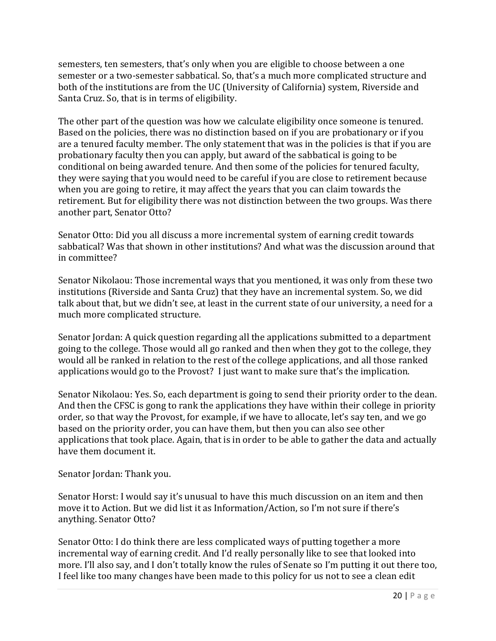semesters, ten semesters, that's only when you are eligible to choose between a one semester or a two-semester sabbatical. So, that's a much more complicated structure and both of the institutions are from the UC (University of California) system, Riverside and Santa Cruz. So, that is in terms of eligibility.

The other part of the question was how we calculate eligibility once someone is tenured. Based on the policies, there was no distinction based on if you are probationary or if you are a tenured faculty member. The only statement that was in the policies is that if you are probationary faculty then you can apply, but award of the sabbatical is going to be conditional on being awarded tenure. And then some of the policies for tenured faculty, they were saying that you would need to be careful if you are close to retirement because when you are going to retire, it may affect the years that you can claim towards the retirement. But for eligibility there was not distinction between the two groups. Was there another part, Senator Otto?

Senator Otto: Did you all discuss a more incremental system of earning credit towards sabbatical? Was that shown in other institutions? And what was the discussion around that in committee?

Senator Nikolaou: Those incremental ways that you mentioned, it was only from these two institutions (Riverside and Santa Cruz) that they have an incremental system. So, we did talk about that, but we didn't see, at least in the current state of our university, a need for a much more complicated structure.

Senator Jordan: A quick question regarding all the applications submitted to a department going to the college. Those would all go ranked and then when they got to the college, they would all be ranked in relation to the rest of the college applications, and all those ranked applications would go to the Provost? I just want to make sure that's the implication.

Senator Nikolaou: Yes. So, each department is going to send their priority order to the dean. And then the CFSC is gong to rank the applications they have within their college in priority order, so that way the Provost, for example, if we have to allocate, let's say ten, and we go based on the priority order, you can have them, but then you can also see other applications that took place. Again, that is in order to be able to gather the data and actually have them document it.

Senator Jordan: Thank you.

Senator Horst: I would say it's unusual to have this much discussion on an item and then move it to Action. But we did list it as Information/Action, so I'm not sure if there's anything. Senator Otto?

Senator Otto: I do think there are less complicated ways of putting together a more incremental way of earning credit. And I'd really personally like to see that looked into more. I'll also say, and I don't totally know the rules of Senate so I'm putting it out there too, I feel like too many changes have been made to this policy for us not to see a clean edit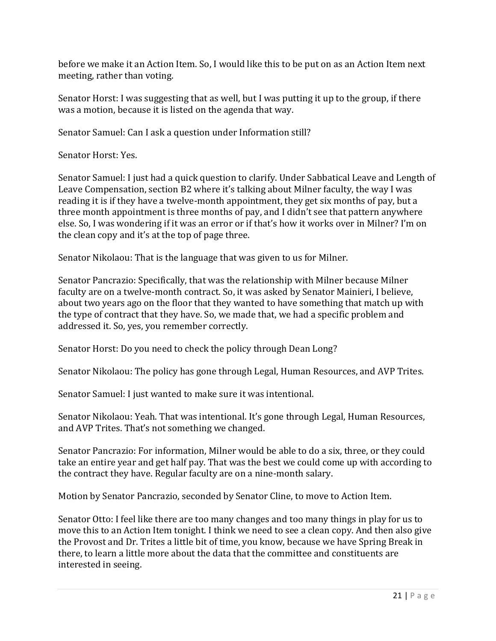before we make it an Action Item. So, I would like this to be put on as an Action Item next meeting, rather than voting.

Senator Horst: I was suggesting that as well, but I was putting it up to the group, if there was a motion, because it is listed on the agenda that way.

Senator Samuel: Can I ask a question under Information still?

Senator Horst: Yes.

Senator Samuel: I just had a quick question to clarify. Under Sabbatical Leave and Length of Leave Compensation, section B2 where it's talking about Milner faculty, the way I was reading it is if they have a twelve-month appointment, they get six months of pay, but a three month appointment is three months of pay, and I didn't see that pattern anywhere else. So, I was wondering if it was an error or if that's how it works over in Milner? I'm on the clean copy and it's at the top of page three.

Senator Nikolaou: That is the language that was given to us for Milner.

Senator Pancrazio: Specifically, that was the relationship with Milner because Milner faculty are on a twelve-month contract. So, it was asked by Senator Mainieri, I believe, about two years ago on the floor that they wanted to have something that match up with the type of contract that they have. So, we made that, we had a specific problem and addressed it. So, yes, you remember correctly.

Senator Horst: Do you need to check the policy through Dean Long?

Senator Nikolaou: The policy has gone through Legal, Human Resources, and AVP Trites.

Senator Samuel: I just wanted to make sure it was intentional.

Senator Nikolaou: Yeah. That was intentional. It's gone through Legal, Human Resources, and AVP Trites. That's not something we changed.

Senator Pancrazio: For information, Milner would be able to do a six, three, or they could take an entire year and get half pay. That was the best we could come up with according to the contract they have. Regular faculty are on a nine-month salary.

Motion by Senator Pancrazio, seconded by Senator Cline, to move to Action Item.

Senator Otto: I feel like there are too many changes and too many things in play for us to move this to an Action Item tonight. I think we need to see a clean copy. And then also give the Provost and Dr. Trites a little bit of time, you know, because we have Spring Break in there, to learn a little more about the data that the committee and constituents are interested in seeing.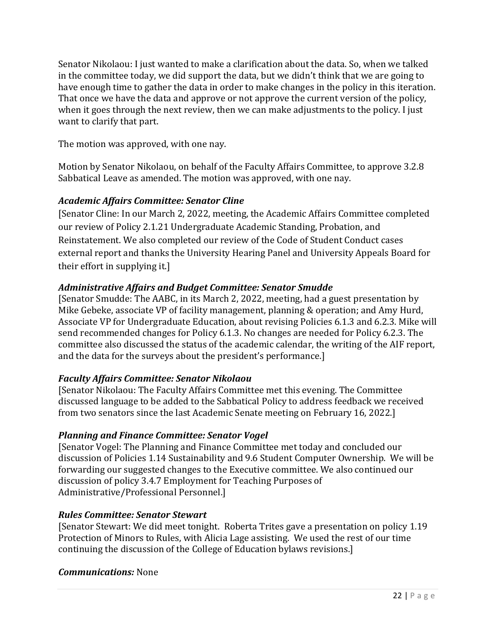Senator Nikolaou: I just wanted to make a clarification about the data. So, when we talked in the committee today, we did support the data, but we didn't think that we are going to have enough time to gather the data in order to make changes in the policy in this iteration. That once we have the data and approve or not approve the current version of the policy, when it goes through the next review, then we can make adjustments to the policy. I just want to clarify that part.

The motion was approved, with one nay.

Motion by Senator Nikolaou, on behalf of the Faculty Affairs Committee, to approve 3.2.8 Sabbatical Leave as amended. The motion was approved, with one nay.

## *Academic Affairs Committee: Senator Cline*

[Senator Cline: In our March 2, 2022, meeting, the Academic Affairs Committee completed our review of Policy 2.1.21 Undergraduate Academic Standing, Probation, and Reinstatement. We also completed our review of the Code of Student Conduct cases external report and thanks the University Hearing Panel and University Appeals Board for their effort in supplying it.]

## *Administrative Affairs and Budget Committee: Senator Smudde*

[Senator Smudde: The AABC, in its March 2, 2022, meeting, had a guest presentation by Mike Gebeke, associate VP of facility management, planning & operation; and Amy Hurd, Associate VP for Undergraduate Education, about revising Policies 6.1.3 and 6.2.3. Mike will send recommended changes for Policy 6.1.3. No changes are needed for Policy 6.2.3. The committee also discussed the status of the academic calendar, the writing of the AIF report, and the data for the surveys about the president's performance.]

## *Faculty Affairs Committee: Senator Nikolaou*

[Senator Nikolaou: The Faculty Affairs Committee met this evening. The Committee discussed language to be added to the Sabbatical Policy to address feedback we received from two senators since the last Academic Senate meeting on February 16, 2022.]

## *Planning and Finance Committee: Senator Vogel*

[Senator Vogel: The Planning and Finance Committee met today and concluded our discussion of Policies 1.14 Sustainability and 9.6 Student Computer Ownership. We will be forwarding our suggested changes to the Executive committee. We also continued our discussion of policy 3.4.7 Employment for Teaching Purposes of Administrative/Professional Personnel.]

## *Rules Committee: Senator Stewart*

[Senator Stewart: We did meet tonight. Roberta Trites gave a presentation on policy 1.19 Protection of Minors to Rules, with Alicia Lage assisting. We used the rest of our time continuing the discussion of the College of Education bylaws revisions.]

## *Communications:* None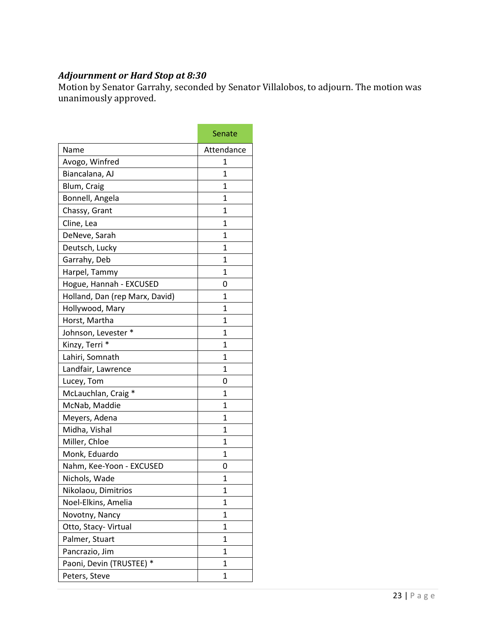#### *Adjournment or Hard Stop at 8:30*

Motion by Senator Garrahy, seconded by Senator Villalobos, to adjourn. The motion was unanimously approved.

|                                | Senate       |
|--------------------------------|--------------|
| Name                           | Attendance   |
| Avogo, Winfred                 | 1            |
| Biancalana, AJ                 | $\mathbf{1}$ |
| Blum, Craig                    | 1            |
| Bonnell, Angela                | $\mathbf{1}$ |
| Chassy, Grant                  | 1            |
| Cline, Lea                     | $\mathbf{1}$ |
| DeNeve, Sarah                  | 1            |
| Deutsch, Lucky                 | 1            |
| Garrahy, Deb                   | 1            |
| Harpel, Tammy                  | $\mathbf{1}$ |
| Hogue, Hannah - EXCUSED        | 0            |
| Holland, Dan (rep Marx, David) | $\mathbf{1}$ |
| Hollywood, Mary                | 1            |
| Horst, Martha                  | 1            |
| Johnson, Levester *            | 1            |
| Kinzy, Terri *                 | $\mathbf{1}$ |
| Lahiri, Somnath                | 1            |
| Landfair, Lawrence             | 1            |
| Lucey, Tom                     | 0            |
| McLauchlan, Craig *            | $\mathbf{1}$ |
| McNab, Maddie                  | $\mathbf{1}$ |
| Meyers, Adena                  | $\mathbf{1}$ |
| Midha, Vishal                  | $\mathbf{1}$ |
| Miller, Chloe                  | $\mathbf{1}$ |
| Monk, Eduardo                  | 1            |
| Nahm, Kee-Yoon - EXCUSED       | 0            |
| Nichols, Wade                  | 1            |
| Nikolaou, Dimitrios            | 1            |
| Noel-Elkins, Amelia            | 1            |
| Novotny, Nancy                 | $\mathbf{1}$ |
| Otto, Stacy-Virtual            | 1            |
| Palmer, Stuart                 | 1            |
| Pancrazio, Jim                 | 1            |
| Paoni, Devin (TRUSTEE) *       | 1            |
| Peters, Steve                  | $\mathbf 1$  |